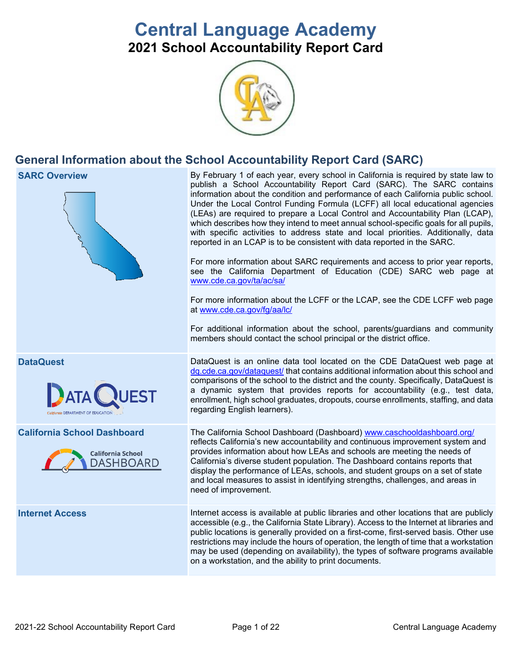# **Central Language Academy 2021 School Accountability Report Card**



## **General Information about the School Accountability Report Card (SARC)**

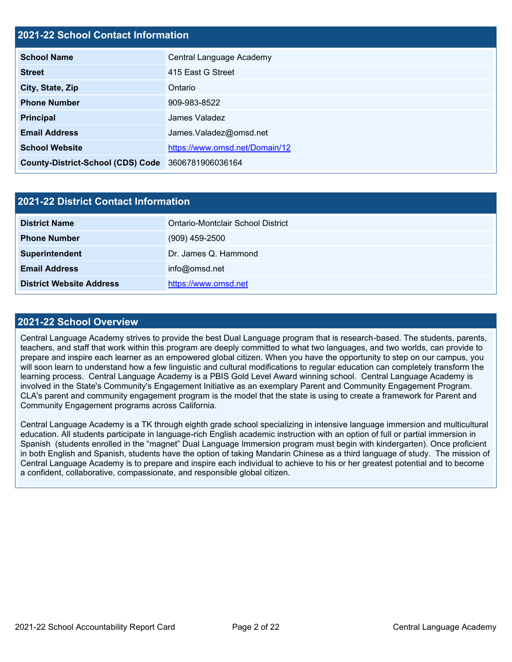#### **2021-22 School Contact Information**

| <b>School Name</b>                       | Central Language Academy       |  |  |  |  |
|------------------------------------------|--------------------------------|--|--|--|--|
| <b>Street</b>                            | 415 East G Street              |  |  |  |  |
| City, State, Zip                         | Ontario                        |  |  |  |  |
| <b>Phone Number</b>                      | 909-983-8522                   |  |  |  |  |
| <b>Principal</b>                         | James Valadez                  |  |  |  |  |
| <b>Email Address</b>                     | James.Valadez@omsd.net         |  |  |  |  |
| <b>School Website</b>                    | https://www.omsd.net/Domain/12 |  |  |  |  |
| <b>County-District-School (CDS) Code</b> | 3606781906036164               |  |  |  |  |

| 2021-22 District Contact Information |                                   |  |  |  |
|--------------------------------------|-----------------------------------|--|--|--|
| <b>District Name</b>                 | Ontario-Montclair School District |  |  |  |
| <b>Phone Number</b>                  | $(909)$ 459-2500                  |  |  |  |
| Superintendent                       | Dr. James Q. Hammond              |  |  |  |
| <b>Email Address</b>                 | info@omsd.net                     |  |  |  |
| <b>District Website Address</b>      | https://www.omsd.net              |  |  |  |

#### **2021-22 School Overview**

Central Language Academy strives to provide the best Dual Language program that is research-based. The students, parents, teachers, and staff that work within this program are deeply committed to what two languages, and two worlds, can provide to prepare and inspire each learner as an empowered global citizen. When you have the opportunity to step on our campus, you will soon learn to understand how a few linguistic and cultural modifications to regular education can completely transform the learning process. Central Language Academy is a PBIS Gold Level Award winning school. Central Language Academy is involved in the State's Community's Engagement Initiative as an exemplary Parent and Community Engagement Program. CLA's parent and community engagement program is the model that the state is using to create a framework for Parent and Community Engagement programs across California.

Central Language Academy is a TK through eighth grade school specializing in intensive language immersion and multicultural education. All students participate in language-rich English academic instruction with an option of full or partial immersion in Spanish (students enrolled in the "magnet" Dual Language Immersion program must begin with kindergarten). Once proficient in both English and Spanish, students have the option of taking Mandarin Chinese as a third language of study. The mission of Central Language Academy is to prepare and inspire each individual to achieve to his or her greatest potential and to become a confident, collaborative, compassionate, and responsible global citizen.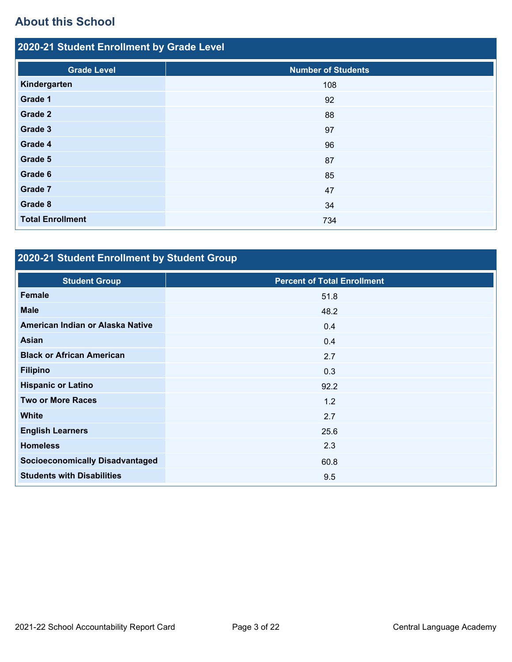# **About this School**

| 2020-21 Student Enrollment by Grade Level |                           |  |  |  |  |
|-------------------------------------------|---------------------------|--|--|--|--|
| <b>Grade Level</b>                        | <b>Number of Students</b> |  |  |  |  |
| Kindergarten                              | 108                       |  |  |  |  |
| Grade 1                                   | 92                        |  |  |  |  |
| Grade 2                                   | 88                        |  |  |  |  |
| Grade 3                                   | 97                        |  |  |  |  |
| Grade 4                                   | 96                        |  |  |  |  |
| Grade 5                                   | 87                        |  |  |  |  |
| Grade 6                                   | 85                        |  |  |  |  |
| Grade 7                                   | 47                        |  |  |  |  |
| Grade 8                                   | 34                        |  |  |  |  |
| <b>Total Enrollment</b>                   | 734                       |  |  |  |  |

# **2020-21 Student Enrollment by Student Group**

| <b>Student Group</b>                   | <b>Percent of Total Enrollment</b> |
|----------------------------------------|------------------------------------|
| Female                                 | 51.8                               |
| <b>Male</b>                            | 48.2                               |
| American Indian or Alaska Native       | 0.4                                |
| <b>Asian</b>                           | 0.4                                |
| <b>Black or African American</b>       | 2.7                                |
| <b>Filipino</b>                        | 0.3                                |
| <b>Hispanic or Latino</b>              | 92.2                               |
| <b>Two or More Races</b>               | 1.2                                |
| <b>White</b>                           | 2.7                                |
| <b>English Learners</b>                | 25.6                               |
| <b>Homeless</b>                        | 2.3                                |
| <b>Socioeconomically Disadvantaged</b> | 60.8                               |
| <b>Students with Disabilities</b>      | 9.5                                |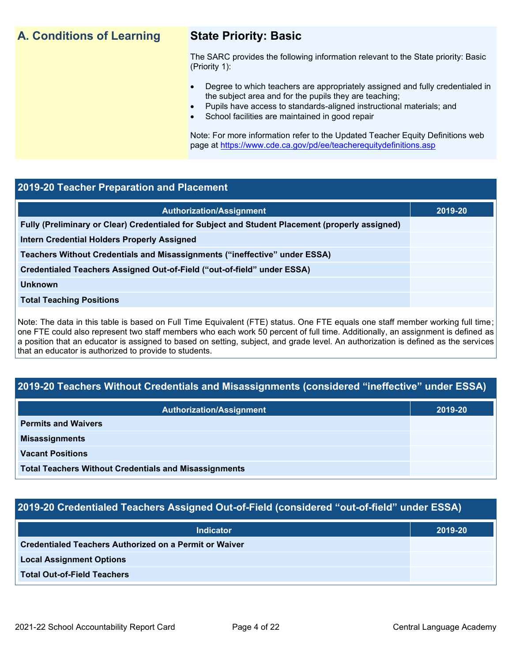## **A. Conditions of Learning State Priority: Basic**

The SARC provides the following information relevant to the State priority: Basic (Priority 1):

- Degree to which teachers are appropriately assigned and fully credentialed in the subject area and for the pupils they are teaching;
	- Pupils have access to standards-aligned instructional materials; and
- School facilities are maintained in good repair

Note: For more information refer to the Updated Teacher Equity Definitions web page at<https://www.cde.ca.gov/pd/ee/teacherequitydefinitions.asp>

#### **2019-20 Teacher Preparation and Placement**

| <b>Authorization/Assignment</b>                                                                 | 2019-20 |
|-------------------------------------------------------------------------------------------------|---------|
| Fully (Preliminary or Clear) Credentialed for Subject and Student Placement (properly assigned) |         |
| Intern Credential Holders Properly Assigned                                                     |         |
| Teachers Without Credentials and Misassignments ("ineffective" under ESSA)                      |         |
| Credentialed Teachers Assigned Out-of-Field ("out-of-field" under ESSA)                         |         |
| <b>Unknown</b>                                                                                  |         |
| <b>Total Teaching Positions</b>                                                                 |         |
|                                                                                                 |         |

Note: The data in this table is based on Full Time Equivalent (FTE) status. One FTE equals one staff member working full time; one FTE could also represent two staff members who each work 50 percent of full time. Additionally, an assignment is defined as a position that an educator is assigned to based on setting, subject, and grade level. An authorization is defined as the services that an educator is authorized to provide to students.

## **2019-20 Teachers Without Credentials and Misassignments (considered "ineffective" under ESSA)**

| <b>Authorization/Assignment</b>                              | 2019-20 |
|--------------------------------------------------------------|---------|
| <b>Permits and Waivers</b>                                   |         |
| <b>Misassignments</b>                                        |         |
| <b>Vacant Positions</b>                                      |         |
| <b>Total Teachers Without Credentials and Misassignments</b> |         |

## **2019-20 Credentialed Teachers Assigned Out-of-Field (considered "out-of-field" under ESSA)**

| <b>Indicator</b>                                              | 2019-20 |
|---------------------------------------------------------------|---------|
| <b>Credentialed Teachers Authorized on a Permit or Waiver</b> |         |
| <b>Local Assignment Options</b>                               |         |
| <b>Total Out-of-Field Teachers</b>                            |         |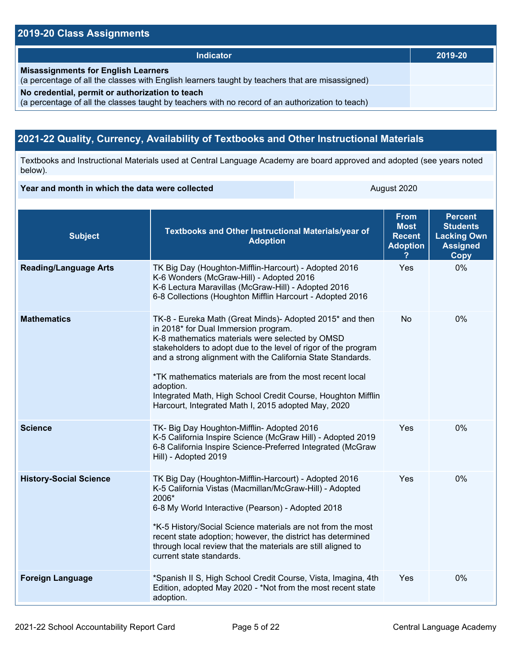## **2019-20 Class Assignments**

| <b>Indicator</b>                                                                                                                                    | 2019-20 |
|-----------------------------------------------------------------------------------------------------------------------------------------------------|---------|
| <b>Misassignments for English Learners</b><br>(a percentage of all the classes with English learners taught by teachers that are misassigned)       |         |
| No credential, permit or authorization to teach<br>(a percentage of all the classes taught by teachers with no record of an authorization to teach) |         |

## **2021-22 Quality, Currency, Availability of Textbooks and Other Instructional Materials**

Textbooks and Instructional Materials used at Central Language Academy are board approved and adopted (see years noted below).

#### **Year and month in which the data were collected** August 2020

| <b>Subject</b>                | Textbooks and Other Instructional Materials/year of<br><b>Adoption</b>                                                                                                                                                                                                                                                                                                                                                                                                               | <b>From</b><br><b>Most</b><br><b>Recent</b><br><b>Adoption</b> | <b>Percent</b><br><b>Students</b><br><b>Lacking Own</b><br><b>Assigned</b><br>Copy |
|-------------------------------|--------------------------------------------------------------------------------------------------------------------------------------------------------------------------------------------------------------------------------------------------------------------------------------------------------------------------------------------------------------------------------------------------------------------------------------------------------------------------------------|----------------------------------------------------------------|------------------------------------------------------------------------------------|
| <b>Reading/Language Arts</b>  | TK Big Day (Houghton-Mifflin-Harcourt) - Adopted 2016<br>K-6 Wonders (McGraw-Hill) - Adopted 2016<br>K-6 Lectura Maravillas (McGraw-Hill) - Adopted 2016<br>6-8 Collections (Houghton Mifflin Harcourt - Adopted 2016                                                                                                                                                                                                                                                                | Yes                                                            | 0%                                                                                 |
| <b>Mathematics</b>            | TK-8 - Eureka Math (Great Minds)- Adopted 2015* and then<br>in 2018* for Dual Immersion program.<br>K-8 mathematics materials were selected by OMSD<br>stakeholders to adopt due to the level of rigor of the program<br>and a strong alignment with the California State Standards.<br>*TK mathematics materials are from the most recent local<br>adoption.<br>Integrated Math, High School Credit Course, Houghton Mifflin<br>Harcourt, Integrated Math I, 2015 adopted May, 2020 | No                                                             | 0%                                                                                 |
| <b>Science</b>                | TK- Big Day Houghton-Mifflin- Adopted 2016<br>K-5 California Inspire Science (McGraw Hill) - Adopted 2019<br>6-8 California Inspire Science-Preferred Integrated (McGraw<br>Hill) - Adopted 2019                                                                                                                                                                                                                                                                                     | Yes                                                            | 0%                                                                                 |
| <b>History-Social Science</b> | TK Big Day (Houghton-Mifflin-Harcourt) - Adopted 2016<br>K-5 California Vistas (Macmillan/McGraw-Hill) - Adopted<br>2006*<br>6-8 My World Interactive (Pearson) - Adopted 2018<br>*K-5 History/Social Science materials are not from the most<br>recent state adoption; however, the district has determined<br>through local review that the materials are still aligned to<br>current state standards.                                                                             | Yes                                                            | 0%                                                                                 |
| <b>Foreign Language</b>       | *Spanish II S, High School Credit Course, Vista, Imagina, 4th<br>Edition, adopted May 2020 - *Not from the most recent state<br>adoption.                                                                                                                                                                                                                                                                                                                                            | <b>Yes</b>                                                     | 0%                                                                                 |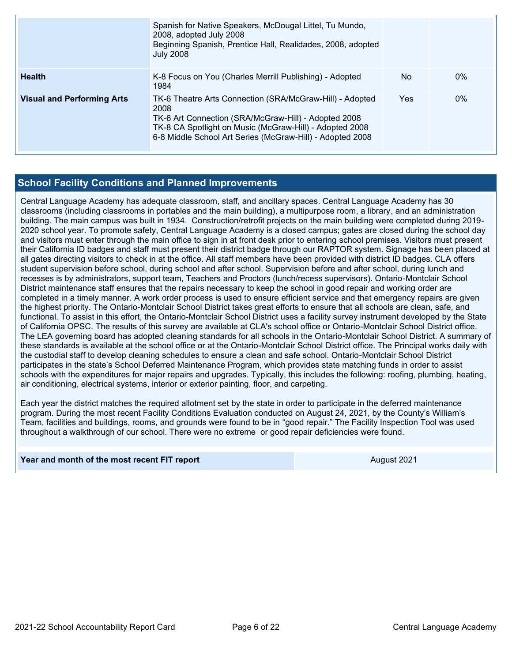|                                   | Spanish for Native Speakers, McDougal Littel, Tu Mundo,<br>2008, adopted July 2008<br>Beginning Spanish, Prentice Hall, Realidades, 2008, adopted<br><b>July 2008</b>                                                                            |                |       |
|-----------------------------------|--------------------------------------------------------------------------------------------------------------------------------------------------------------------------------------------------------------------------------------------------|----------------|-------|
| <b>Health</b>                     | K-8 Focus on You (Charles Merrill Publishing) - Adopted<br>1984                                                                                                                                                                                  | N <sub>o</sub> | $0\%$ |
| <b>Visual and Performing Arts</b> | TK-6 Theatre Arts Connection (SRA/McGraw-Hill) - Adopted<br>2008<br>TK-6 Art Connection (SRA/McGraw-Hill) - Adopted 2008<br>TK-8 CA Spotlight on Music (McGraw-Hill) - Adopted 2008<br>6-8 Middle School Art Series (McGraw-Hill) - Adopted 2008 | Yes            | $0\%$ |

#### **School Facility Conditions and Planned Improvements**

Central Language Academy has adequate classroom, staff, and ancillary spaces. Central Language Academy has 30 classrooms (including classrooms in portables and the main building), a multipurpose room, a library, and an administration building. The main campus was built in 1934. Construction/retrofit projects on the main building were completed during 2019- 2020 school year. To promote safety, Central Language Academy is a closed campus; gates are closed during the school day and visitors must enter through the main office to sign in at front desk prior to entering school premises. Visitors must present their California ID badges and staff must present their district badge through our RAPTOR system. Signage has been placed at all gates directing visitors to check in at the office. All staff members have been provided with district ID badges. CLA offers student supervision before school, during school and after school. Supervision before and after school, during lunch and recesses is by administrators, support team, Teachers and Proctors (lunch/recess supervisors). Ontario-Montclair School District maintenance staff ensures that the repairs necessary to keep the school in good repair and working order are completed in a timely manner. A work order process is used to ensure efficient service and that emergency repairs are given the highest priority. The Ontario-Montclair School District takes great efforts to ensure that all schools are clean, safe, and functional. To assist in this effort, the Ontario-Montclair School District uses a facility survey instrument developed by the State of California OPSC. The results of this survey are available at CLA's school office or Ontario-Montclair School District office. The LEA governing board has adopted cleaning standards for all schools in the Ontario-Montclair School District. A summary of these standards is available at the school office or at the Ontario-Montclair School District office. The Principal works daily with the custodial staff to develop cleaning schedules to ensure a clean and safe school. Ontario-Montclair School District participates in the state's School Deferred Maintenance Program, which provides state matching funds in order to assist schools with the expenditures for major repairs and upgrades. Typically, this includes the following: roofing, plumbing, heating, air conditioning, electrical systems, interior or exterior painting, floor, and carpeting.

Each year the district matches the required allotment set by the state in order to participate in the deferred maintenance program. During the most recent Facility Conditions Evaluation conducted on August 24, 2021, by the County's William's Team, facilities and buildings, rooms, and grounds were found to be in "good repair." The Facility Inspection Tool was used throughout a walkthrough of our school. There were no extreme or good repair deficiencies were found.

#### **Year and month of the most recent FIT report** August 2021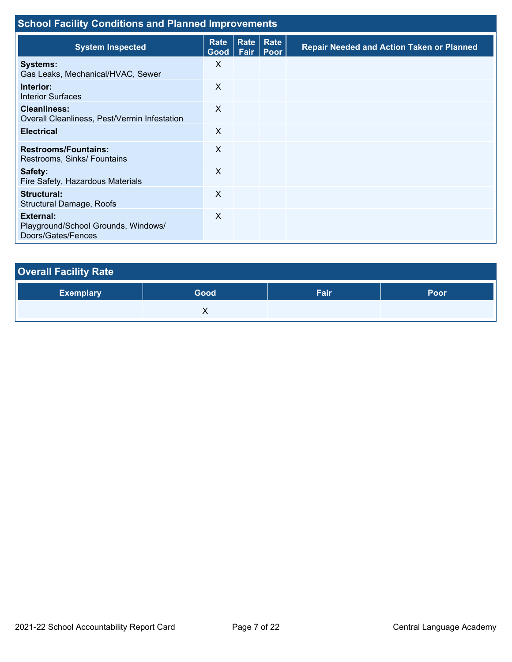| <b>School Facility Conditions and Planned Improvements</b>                    |                           |              |                     |                                                  |  |
|-------------------------------------------------------------------------------|---------------------------|--------------|---------------------|--------------------------------------------------|--|
| <b>System Inspected</b>                                                       | Rate<br>Good <sub>1</sub> | Rate<br>Fair | Rate<br><b>Poor</b> | <b>Repair Needed and Action Taken or Planned</b> |  |
| <b>Systems:</b><br>Gas Leaks, Mechanical/HVAC, Sewer                          | X                         |              |                     |                                                  |  |
| Interior:<br><b>Interior Surfaces</b>                                         | X                         |              |                     |                                                  |  |
| <b>Cleanliness:</b><br>Overall Cleanliness, Pest/Vermin Infestation           | X                         |              |                     |                                                  |  |
| <b>Electrical</b>                                                             | X                         |              |                     |                                                  |  |
| <b>Restrooms/Fountains:</b><br>Restrooms, Sinks/ Fountains                    | X                         |              |                     |                                                  |  |
| Safety:<br>Fire Safety, Hazardous Materials                                   | X                         |              |                     |                                                  |  |
| Structural:<br>Structural Damage, Roofs                                       | X                         |              |                     |                                                  |  |
| <b>External:</b><br>Playground/School Grounds, Windows/<br>Doors/Gates/Fences | X                         |              |                     |                                                  |  |

| <b>Overall Facility Rate</b> |      |      |      |  |  |  |
|------------------------------|------|------|------|--|--|--|
| <b>Exemplary</b>             | Good | Fair | Poor |  |  |  |
|                              |      |      |      |  |  |  |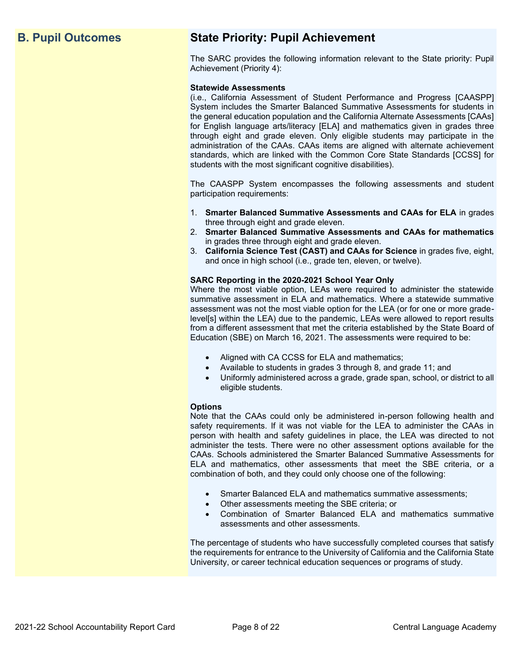## **B. Pupil Outcomes State Priority: Pupil Achievement**

The SARC provides the following information relevant to the State priority: Pupil Achievement (Priority 4):

#### **Statewide Assessments**

(i.e., California Assessment of Student Performance and Progress [CAASPP] System includes the Smarter Balanced Summative Assessments for students in the general education population and the California Alternate Assessments [CAAs] for English language arts/literacy [ELA] and mathematics given in grades three through eight and grade eleven. Only eligible students may participate in the administration of the CAAs. CAAs items are aligned with alternate achievement standards, which are linked with the Common Core State Standards [CCSS] for students with the most significant cognitive disabilities).

The CAASPP System encompasses the following assessments and student participation requirements:

- 1. **Smarter Balanced Summative Assessments and CAAs for ELA** in grades three through eight and grade eleven.
- 2. **Smarter Balanced Summative Assessments and CAAs for mathematics** in grades three through eight and grade eleven.
- 3. **California Science Test (CAST) and CAAs for Science** in grades five, eight, and once in high school (i.e., grade ten, eleven, or twelve).

#### **SARC Reporting in the 2020-2021 School Year Only**

Where the most viable option, LEAs were required to administer the statewide summative assessment in ELA and mathematics. Where a statewide summative assessment was not the most viable option for the LEA (or for one or more gradelevel[s] within the LEA) due to the pandemic, LEAs were allowed to report results from a different assessment that met the criteria established by the State Board of Education (SBE) on March 16, 2021. The assessments were required to be:

- Aligned with CA CCSS for ELA and mathematics;
- Available to students in grades 3 through 8, and grade 11; and
- Uniformly administered across a grade, grade span, school, or district to all eligible students.

#### **Options**

Note that the CAAs could only be administered in-person following health and safety requirements. If it was not viable for the LEA to administer the CAAs in person with health and safety guidelines in place, the LEA was directed to not administer the tests. There were no other assessment options available for the CAAs. Schools administered the Smarter Balanced Summative Assessments for ELA and mathematics, other assessments that meet the SBE criteria, or a combination of both, and they could only choose one of the following:

- Smarter Balanced ELA and mathematics summative assessments;
- Other assessments meeting the SBE criteria; or
- Combination of Smarter Balanced ELA and mathematics summative assessments and other assessments.

The percentage of students who have successfully completed courses that satisfy the requirements for entrance to the University of California and the California State University, or career technical education sequences or programs of study.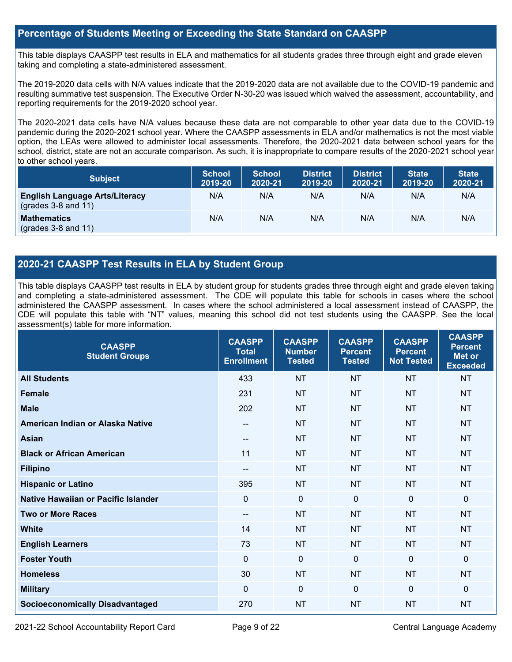#### **Percentage of Students Meeting or Exceeding the State Standard on CAASPP**

This table displays CAASPP test results in ELA and mathematics for all students grades three through eight and grade eleven taking and completing a state-administered assessment.

The 2019-2020 data cells with N/A values indicate that the 2019-2020 data are not available due to the COVID-19 pandemic and resulting summative test suspension. The Executive Order N-30-20 was issued which waived the assessment, accountability, and reporting requirements for the 2019-2020 school year.

The 2020-2021 data cells have N/A values because these data are not comparable to other year data due to the COVID-19 pandemic during the 2020-2021 school year. Where the CAASPP assessments in ELA and/or mathematics is not the most viable option, the LEAs were allowed to administer local assessments. Therefore, the 2020-2021 data between school years for the school, district, state are not an accurate comparison. As such, it is inappropriate to compare results of the 2020-2021 school year to other school years.

| <b>Subject</b>                                                       | <b>School</b><br>2019-20 | <b>School</b><br>2020-21 | <b>District</b><br>2019-20 | <b>District</b><br>2020-21 | <b>State</b><br>2019-20 | <b>State</b><br>2020-21 |
|----------------------------------------------------------------------|--------------------------|--------------------------|----------------------------|----------------------------|-------------------------|-------------------------|
| <b>English Language Arts/Literacy</b><br>$\left($ grades 3-8 and 11) | N/A                      | N/A                      | N/A                        | N/A                        | N/A                     | N/A                     |
| <b>Mathematics</b><br>$(grades 3-8 and 11)$                          | N/A                      | N/A                      | N/A                        | N/A                        | N/A                     | N/A                     |

#### **2020-21 CAASPP Test Results in ELA by Student Group**

This table displays CAASPP test results in ELA by student group for students grades three through eight and grade eleven taking and completing a state-administered assessment. The CDE will populate this table for schools in cases where the school administered the CAASPP assessment. In cases where the school administered a local assessment instead of CAASPP, the CDE will populate this table with "NT" values, meaning this school did not test students using the CAASPP. See the local assessment(s) table for more information.

| <b>CAASPP</b><br><b>Student Groups</b> | <b>CAASPP</b><br><b>Total</b><br><b>Enrollment</b> | <b>CAASPP</b><br><b>Number</b><br><b>Tested</b> | <b>CAASPP</b><br><b>Percent</b><br><b>Tested</b> | <b>CAASPP</b><br><b>Percent</b><br><b>Not Tested</b> | <b>CAASPP</b><br><b>Percent</b><br>Met or<br><b>Exceeded</b> |
|----------------------------------------|----------------------------------------------------|-------------------------------------------------|--------------------------------------------------|------------------------------------------------------|--------------------------------------------------------------|
| <b>All Students</b>                    | 433                                                | <b>NT</b>                                       | <b>NT</b>                                        | <b>NT</b>                                            | <b>NT</b>                                                    |
| <b>Female</b>                          | 231                                                | <b>NT</b>                                       | <b>NT</b>                                        | <b>NT</b>                                            | <b>NT</b>                                                    |
| <b>Male</b>                            | 202                                                | <b>NT</b>                                       | <b>NT</b>                                        | <b>NT</b>                                            | <b>NT</b>                                                    |
| American Indian or Alaska Native       | --                                                 | <b>NT</b>                                       | <b>NT</b>                                        | <b>NT</b>                                            | <b>NT</b>                                                    |
| <b>Asian</b>                           | --                                                 | <b>NT</b>                                       | <b>NT</b>                                        | <b>NT</b>                                            | <b>NT</b>                                                    |
| <b>Black or African American</b>       | 11                                                 | <b>NT</b>                                       | <b>NT</b>                                        | <b>NT</b>                                            | <b>NT</b>                                                    |
| <b>Filipino</b>                        | --                                                 | <b>NT</b>                                       | <b>NT</b>                                        | <b>NT</b>                                            | <b>NT</b>                                                    |
| <b>Hispanic or Latino</b>              | 395                                                | <b>NT</b>                                       | <b>NT</b>                                        | <b>NT</b>                                            | <b>NT</b>                                                    |
| Native Hawaiian or Pacific Islander    | $\Omega$                                           | $\mathbf 0$                                     | $\Omega$                                         | $\Omega$                                             | $\mathbf{0}$                                                 |
| <b>Two or More Races</b>               | --                                                 | <b>NT</b>                                       | <b>NT</b>                                        | <b>NT</b>                                            | <b>NT</b>                                                    |
| <b>White</b>                           | 14                                                 | <b>NT</b>                                       | <b>NT</b>                                        | <b>NT</b>                                            | <b>NT</b>                                                    |
| <b>English Learners</b>                | 73                                                 | <b>NT</b>                                       | <b>NT</b>                                        | <b>NT</b>                                            | <b>NT</b>                                                    |
| <b>Foster Youth</b>                    | $\mathbf 0$                                        | $\mathbf 0$                                     | $\Omega$                                         | $\mathbf{0}$                                         | $\Omega$                                                     |
| <b>Homeless</b>                        | 30                                                 | <b>NT</b>                                       | <b>NT</b>                                        | <b>NT</b>                                            | NT                                                           |
| <b>Military</b>                        | $\Omega$                                           | $\mathbf 0$                                     | $\Omega$                                         | $\Omega$                                             | $\Omega$                                                     |
| <b>Socioeconomically Disadvantaged</b> | 270                                                | <b>NT</b>                                       | <b>NT</b>                                        | <b>NT</b>                                            | <b>NT</b>                                                    |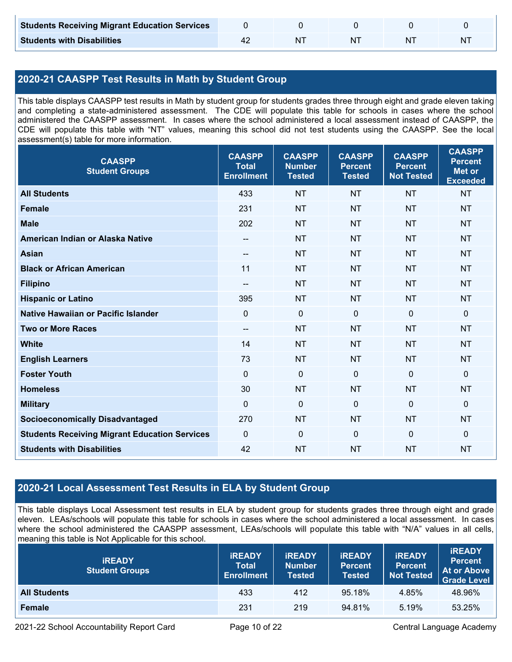| <b>Students Receiving Migrant Education Services</b> |    |  |   |
|------------------------------------------------------|----|--|---|
| <b>Students with Disabilities</b>                    | NΊ |  | N |

## **2020-21 CAASPP Test Results in Math by Student Group**

This table displays CAASPP test results in Math by student group for students grades three through eight and grade eleven taking and completing a state-administered assessment. The CDE will populate this table for schools in cases where the school administered the CAASPP assessment. In cases where the school administered a local assessment instead of CAASPP, the CDE will populate this table with "NT" values, meaning this school did not test students using the CAASPP. See the local assessment(s) table for more information.

| <b>CAASPP</b><br><b>Student Groups</b>               | <b>CAASPP</b><br><b>Total</b><br><b>Enrollment</b> | <b>CAASPP</b><br><b>Number</b><br><b>Tested</b> | <b>CAASPP</b><br><b>Percent</b><br><b>Tested</b> | <b>CAASPP</b><br><b>Percent</b><br><b>Not Tested</b> | <b>CAASPP</b><br><b>Percent</b><br><b>Met or</b><br><b>Exceeded</b> |
|------------------------------------------------------|----------------------------------------------------|-------------------------------------------------|--------------------------------------------------|------------------------------------------------------|---------------------------------------------------------------------|
| <b>All Students</b>                                  | 433                                                | <b>NT</b>                                       | <b>NT</b>                                        | <b>NT</b>                                            | <b>NT</b>                                                           |
| <b>Female</b>                                        | 231                                                | <b>NT</b>                                       | <b>NT</b>                                        | <b>NT</b>                                            | <b>NT</b>                                                           |
| <b>Male</b>                                          | 202                                                | <b>NT</b>                                       | <b>NT</b>                                        | <b>NT</b>                                            | <b>NT</b>                                                           |
| American Indian or Alaska Native                     | $\qquad \qquad -$                                  | <b>NT</b>                                       | <b>NT</b>                                        | <b>NT</b>                                            | <b>NT</b>                                                           |
| <b>Asian</b>                                         | $-$                                                | <b>NT</b>                                       | <b>NT</b>                                        | <b>NT</b>                                            | <b>NT</b>                                                           |
| <b>Black or African American</b>                     | 11                                                 | <b>NT</b>                                       | <b>NT</b>                                        | <b>NT</b>                                            | <b>NT</b>                                                           |
| <b>Filipino</b>                                      | $-$                                                | <b>NT</b>                                       | <b>NT</b>                                        | <b>NT</b>                                            | <b>NT</b>                                                           |
| <b>Hispanic or Latino</b>                            | 395                                                | <b>NT</b>                                       | <b>NT</b>                                        | <b>NT</b>                                            | <b>NT</b>                                                           |
| <b>Native Hawaiian or Pacific Islander</b>           | $\overline{0}$                                     | $\mathbf 0$                                     | $\mathbf 0$                                      | $\overline{0}$                                       | $\mathbf 0$                                                         |
| <b>Two or More Races</b>                             | $\overline{\phantom{a}}$                           | <b>NT</b>                                       | <b>NT</b>                                        | <b>NT</b>                                            | <b>NT</b>                                                           |
| <b>White</b>                                         | 14                                                 | <b>NT</b>                                       | <b>NT</b>                                        | <b>NT</b>                                            | <b>NT</b>                                                           |
| <b>English Learners</b>                              | 73                                                 | <b>NT</b>                                       | <b>NT</b>                                        | <b>NT</b>                                            | <b>NT</b>                                                           |
| <b>Foster Youth</b>                                  | $\mathbf{0}$                                       | $\mathbf 0$                                     | $\mathbf{0}$                                     | $\mathbf 0$                                          | 0                                                                   |
| <b>Homeless</b>                                      | 30                                                 | <b>NT</b>                                       | <b>NT</b>                                        | <b>NT</b>                                            | <b>NT</b>                                                           |
| <b>Military</b>                                      | $\mathbf 0$                                        | $\mathbf 0$                                     | $\mathbf 0$                                      | $\mathbf 0$                                          | 0                                                                   |
| <b>Socioeconomically Disadvantaged</b>               | 270                                                | <b>NT</b>                                       | <b>NT</b>                                        | <b>NT</b>                                            | <b>NT</b>                                                           |
| <b>Students Receiving Migrant Education Services</b> | $\mathbf{0}$                                       | $\mathbf 0$                                     | $\mathbf 0$                                      | $\mathbf 0$                                          | 0                                                                   |
| <b>Students with Disabilities</b>                    | 42                                                 | <b>NT</b>                                       | <b>NT</b>                                        | <b>NT</b>                                            | <b>NT</b>                                                           |

### **2020-21 Local Assessment Test Results in ELA by Student Group**

This table displays Local Assessment test results in ELA by student group for students grades three through eight and grade eleven. LEAs/schools will populate this table for schools in cases where the school administered a local assessment. In cases where the school administered the CAASPP assessment, LEAs/schools will populate this table with "N/A" values in all cells, meaning this table is Not Applicable for this school.

| <b>IREADY</b><br><b>Student Groups</b> | <b>IREADY</b><br><b>Total</b><br><b>Enrollment</b> | <b>IREADY</b><br><b>Number</b><br><b>Tested</b> | <b>IREADY</b><br><b>Percent</b><br><b>Tested</b> | <b>IREADY</b><br>/ Percent<br><b>Not Tested</b> | <b>IREADY</b><br><b>Percent</b><br><b>At or Above</b><br><b>Grade Level</b> |
|----------------------------------------|----------------------------------------------------|-------------------------------------------------|--------------------------------------------------|-------------------------------------------------|-----------------------------------------------------------------------------|
| <b>All Students</b>                    | 433                                                | 412                                             | 95.18%                                           | 4.85%                                           | 48.96%                                                                      |
| Female                                 | 231                                                | 219                                             | 94.81%                                           | 5.19%                                           | 53.25%                                                                      |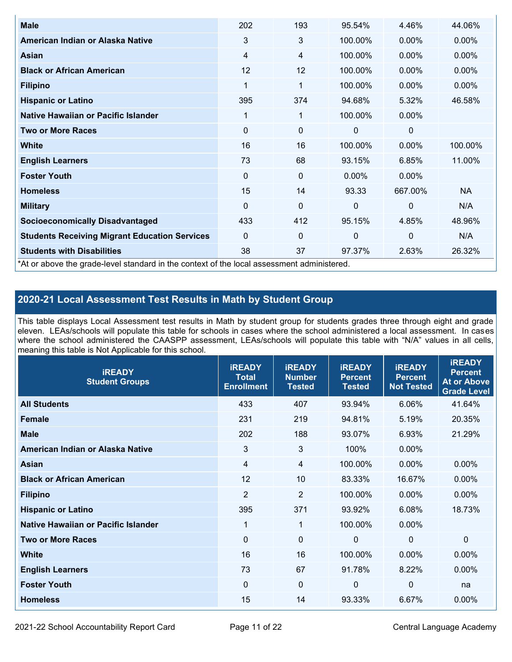| <b>Male</b>                                                                                | 202         | 193         | 95.54%       | 4.46%        | 44.06%    |
|--------------------------------------------------------------------------------------------|-------------|-------------|--------------|--------------|-----------|
| American Indian or Alaska Native                                                           | 3           | 3           | 100.00%      | $0.00\%$     | $0.00\%$  |
| <b>Asian</b>                                                                               | 4           | 4           | 100.00%      | $0.00\%$     | 0.00%     |
| <b>Black or African American</b>                                                           | 12          | 12          | 100.00%      | $0.00\%$     | $0.00\%$  |
| <b>Filipino</b>                                                                            | 1           | 1           | 100.00%      | $0.00\%$     | 0.00%     |
| <b>Hispanic or Latino</b>                                                                  | 395         | 374         | 94.68%       | 5.32%        | 46.58%    |
| Native Hawaiian or Pacific Islander                                                        | 1           | 1           | 100.00%      | $0.00\%$     |           |
| <b>Two or More Races</b>                                                                   | $\mathbf 0$ | $\mathbf 0$ | 0            | 0            |           |
| White                                                                                      | 16          | 16          | 100.00%      | $0.00\%$     | 100.00%   |
| <b>English Learners</b>                                                                    | 73          | 68          | 93.15%       | 6.85%        | 11.00%    |
| <b>Foster Youth</b>                                                                        | $\mathbf 0$ | 0           | $0.00\%$     | $0.00\%$     |           |
| <b>Homeless</b>                                                                            | 15          | 14          | 93.33        | 667.00%      | <b>NA</b> |
| <b>Military</b>                                                                            | $\mathbf 0$ | $\mathbf 0$ | $\mathbf{0}$ | $\mathbf{0}$ | N/A       |
| <b>Socioeconomically Disadvantaged</b>                                                     | 433         | 412         | 95.15%       | 4.85%        | 48.96%    |
| <b>Students Receiving Migrant Education Services</b>                                       | $\Omega$    | $\mathbf 0$ | $\mathbf 0$  | $\mathbf 0$  | N/A       |
| <b>Students with Disabilities</b>                                                          | 38          | 37          | 97.37%       | 2.63%        | 26.32%    |
| *At or above the grade-level standard in the context of the local assessment administered. |             |             |              |              |           |

### **2020-21 Local Assessment Test Results in Math by Student Group**

This table displays Local Assessment test results in Math by student group for students grades three through eight and grade eleven. LEAs/schools will populate this table for schools in cases where the school administered a local assessment. In cases where the school administered the CAASPP assessment, LEAs/schools will populate this table with "N/A" values in all cells, meaning this table is Not Applicable for this school.

| <b>iREADY</b><br><b>Student Groups</b> | <b>IREADY</b><br><b>Total</b><br><b>Enrollment</b> | <b>iREADY</b><br><b>Number</b><br><b>Tested</b> | <b>iREADY</b><br><b>Percent</b><br><b>Tested</b> | <b>IREADY</b><br><b>Percent</b><br><b>Not Tested</b> | <b>IREADY</b><br><b>Percent</b><br><b>At or Above</b><br><b>Grade Level</b> |
|----------------------------------------|----------------------------------------------------|-------------------------------------------------|--------------------------------------------------|------------------------------------------------------|-----------------------------------------------------------------------------|
| <b>All Students</b>                    | 433                                                | 407                                             | 93.94%                                           | 6.06%                                                | 41.64%                                                                      |
| <b>Female</b>                          | 231                                                | 219                                             | 94.81%                                           | 5.19%                                                | 20.35%                                                                      |
| <b>Male</b>                            | 202                                                | 188                                             | 93.07%                                           | 6.93%                                                | 21.29%                                                                      |
| American Indian or Alaska Native       | 3                                                  | $\mathbf{3}$                                    | 100%                                             | 0.00%                                                |                                                                             |
| <b>Asian</b>                           | $\overline{4}$                                     | $\overline{4}$                                  | 100.00%                                          | 0.00%                                                | 0.00%                                                                       |
| <b>Black or African American</b>       | 12                                                 | 10                                              | 83.33%                                           | 16.67%                                               | 0.00%                                                                       |
| <b>Filipino</b>                        | $\overline{2}$                                     | $\overline{2}$                                  | 100.00%                                          | 0.00%                                                | 0.00%                                                                       |
| <b>Hispanic or Latino</b>              | 395                                                | 371                                             | 93.92%                                           | 6.08%                                                | 18.73%                                                                      |
| Native Hawaiian or Pacific Islander    | $\mathbf{1}$                                       | $\mathbf{1}$                                    | 100.00%                                          | 0.00%                                                |                                                                             |
| <b>Two or More Races</b>               | $\Omega$                                           | $\mathbf 0$                                     | $\mathbf{0}$                                     | $\mathbf 0$                                          | $\Omega$                                                                    |
| <b>White</b>                           | 16                                                 | 16                                              | 100.00%                                          | 0.00%                                                | $0.00\%$                                                                    |
| <b>English Learners</b>                | 73                                                 | 67                                              | 91.78%                                           | 8.22%                                                | 0.00%                                                                       |
| <b>Foster Youth</b>                    | $\Omega$                                           | $\mathbf 0$                                     | $\Omega$                                         | $\mathbf 0$                                          | na                                                                          |
| <b>Homeless</b>                        | 15                                                 | 14                                              | 93.33%                                           | 6.67%                                                | 0.00%                                                                       |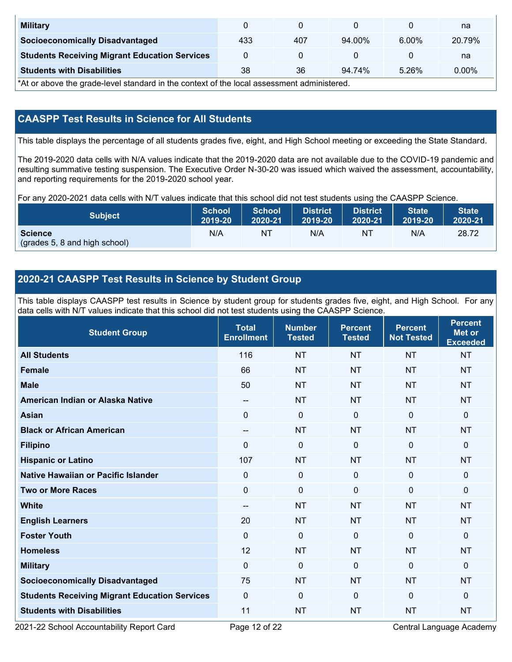| <b>Military</b>                                      |     |     |        |          | na     |
|------------------------------------------------------|-----|-----|--------|----------|--------|
| <b>Socioeconomically Disadvantaged</b>               | 433 | 407 | 94.00% | $6.00\%$ | 20.79% |
| <b>Students Receiving Migrant Education Services</b> |     |     |        |          | na     |
| <b>Students with Disabilities</b>                    | 38  | 36  | 94.74% | 5.26%    | 0.00%  |

\*At or above the grade-level standard in the context of the local assessment administered.

### **CAASPP Test Results in Science for All Students**

This table displays the percentage of all students grades five, eight, and High School meeting or exceeding the State Standard.

The 2019-2020 data cells with N/A values indicate that the 2019-2020 data are not available due to the COVID-19 pandemic and resulting summative testing suspension. The Executive Order N-30-20 was issued which waived the assessment, accountability, and reporting requirements for the 2019-2020 school year.

For any 2020-2021 data cells with N/T values indicate that this school did not test students using the CAASPP Science.

| <b>Subject</b>                                  | <b>School</b> | <b>School</b> | <b>District</b> | <b>District</b> | <b>State</b> | <b>State</b> |
|-------------------------------------------------|---------------|---------------|-----------------|-----------------|--------------|--------------|
|                                                 | 2019-20       | 2020-21       | 2019-20         | 2020-21         | 2019-20      | 2020-21      |
| <b>Science</b><br>(grades 5, 8 and high school) | N/A           | ΝT            | N/A             | N1              | N/A          | 28.72        |

#### **2020-21 CAASPP Test Results in Science by Student Group**

This table displays CAASPP test results in Science by student group for students grades five, eight, and High School. For any data cells with N/T values indicate that this school did not test students using the CAASPP Science.

| <b>Student Group</b>                                 | <b>Total</b><br><b>Enrollment</b> | <b>Number</b><br><b>Tested</b> | <b>Percent</b><br><b>Tested</b> | <b>Percent</b><br><b>Not Tested</b> | <b>Percent</b><br><b>Met or</b><br><b>Exceeded</b> |
|------------------------------------------------------|-----------------------------------|--------------------------------|---------------------------------|-------------------------------------|----------------------------------------------------|
| <b>All Students</b>                                  | 116                               | <b>NT</b>                      | <b>NT</b>                       | <b>NT</b>                           | <b>NT</b>                                          |
| <b>Female</b>                                        | 66                                | <b>NT</b>                      | <b>NT</b>                       | <b>NT</b>                           | <b>NT</b>                                          |
| <b>Male</b>                                          | 50                                | <b>NT</b>                      | <b>NT</b>                       | <b>NT</b>                           | <b>NT</b>                                          |
| American Indian or Alaska Native                     | $\overline{\phantom{a}}$          | <b>NT</b>                      | <b>NT</b>                       | <b>NT</b>                           | <b>NT</b>                                          |
| <b>Asian</b>                                         | $\mathbf{0}$                      | $\boldsymbol{0}$               | $\mathbf 0$                     | $\mathbf 0$                         | 0                                                  |
| <b>Black or African American</b>                     | $\qquad \qquad -$                 | <b>NT</b>                      | <b>NT</b>                       | <b>NT</b>                           | <b>NT</b>                                          |
| <b>Filipino</b>                                      | $\Omega$                          | $\mathbf 0$                    | $\mathbf{0}$                    | $\mathbf 0$                         | 0                                                  |
| <b>Hispanic or Latino</b>                            | 107                               | <b>NT</b>                      | <b>NT</b>                       | <b>NT</b>                           | <b>NT</b>                                          |
| <b>Native Hawaiian or Pacific Islander</b>           | $\Omega$                          | $\mathbf 0$                    | $\mathbf{0}$                    | $\mathbf{0}$                        | 0                                                  |
| <b>Two or More Races</b>                             | $\mathbf 0$                       | $\mathbf 0$                    | $\mathbf{0}$                    | $\mathbf{0}$                        | 0                                                  |
| <b>White</b>                                         | $\qquad \qquad -$                 | <b>NT</b>                      | <b>NT</b>                       | <b>NT</b>                           | <b>NT</b>                                          |
| <b>English Learners</b>                              | 20                                | <b>NT</b>                      | <b>NT</b>                       | <b>NT</b>                           | <b>NT</b>                                          |
| <b>Foster Youth</b>                                  | $\mathbf{0}$                      | $\mathbf 0$                    | $\mathbf{0}$                    | $\mathbf{0}$                        | 0                                                  |
| <b>Homeless</b>                                      | 12                                | <b>NT</b>                      | <b>NT</b>                       | <b>NT</b>                           | <b>NT</b>                                          |
| <b>Military</b>                                      | $\Omega$                          | $\mathbf 0$                    | $\mathbf 0$                     | $\mathbf{0}$                        | 0                                                  |
| <b>Socioeconomically Disadvantaged</b>               | 75                                | <b>NT</b>                      | <b>NT</b>                       | <b>NT</b>                           | <b>NT</b>                                          |
| <b>Students Receiving Migrant Education Services</b> | $\mathbf 0$                       | $\mathbf 0$                    | $\mathbf 0$                     | $\mathbf{0}$                        | 0                                                  |
| <b>Students with Disabilities</b>                    | 11                                | <b>NT</b>                      | <b>NT</b>                       | <b>NT</b>                           | <b>NT</b>                                          |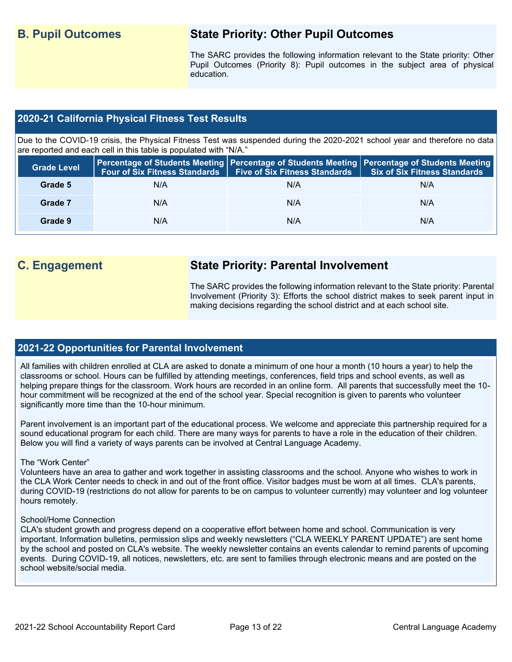## **B. Pupil Outcomes State Priority: Other Pupil Outcomes**

The SARC provides the following information relevant to the State priority: Other Pupil Outcomes (Priority 8): Pupil outcomes in the subject area of physical education.

#### **2020-21 California Physical Fitness Test Results**

Due to the COVID-19 crisis, the Physical Fitness Test was suspended during the 2020-2021 school year and therefore no data are reported and each cell in this table is populated with "N/A."

| <b>Grade Level</b> | Four of Six Fitness Standards | Five of Six Fitness Standards   Six of Six Fitness Standards | <b>Percentage of Students Meeting   Percentage of Students Meeting   Percentage of Students Meeting  </b> |
|--------------------|-------------------------------|--------------------------------------------------------------|-----------------------------------------------------------------------------------------------------------|
| Grade 5            | N/A                           | N/A                                                          | N/A                                                                                                       |
| Grade 7            | N/A                           | N/A                                                          | N/A                                                                                                       |
| Grade 9            | N/A                           | N/A                                                          | N/A                                                                                                       |

## **C. Engagement State Priority: Parental Involvement**

The SARC provides the following information relevant to the State priority: Parental Involvement (Priority 3): Efforts the school district makes to seek parent input in making decisions regarding the school district and at each school site.

#### **2021-22 Opportunities for Parental Involvement**

All families with children enrolled at CLA are asked to donate a minimum of one hour a month (10 hours a year) to help the classrooms or school. Hours can be fulfilled by attending meetings, conferences, field trips and school events, as well as helping prepare things for the classroom. Work hours are recorded in an online form. All parents that successfully meet the 10 hour commitment will be recognized at the end of the school year. Special recognition is given to parents who volunteer significantly more time than the 10-hour minimum.

Parent involvement is an important part of the educational process. We welcome and appreciate this partnership required for a sound educational program for each child. There are many ways for parents to have a role in the education of their children. Below you will find a variety of ways parents can be involved at Central Language Academy.

#### The "Work Center"

Volunteers have an area to gather and work together in assisting classrooms and the school. Anyone who wishes to work in the CLA Work Center needs to check in and out of the front office. Visitor badges must be worn at all times. CLA's parents, during COVID-19 (restrictions do not allow for parents to be on campus to volunteer currently) may volunteer and log volunteer hours remotely.

#### School/Home Connection

CLA's student growth and progress depend on a cooperative effort between home and school. Communication is very important. Information bulletins, permission slips and weekly newsletters ("CLA WEEKLY PARENT UPDATE") are sent home by the school and posted on CLA's website. The weekly newsletter contains an events calendar to remind parents of upcoming events. During COVID-19, all notices, newsletters, etc. are sent to families through electronic means and are posted on the school website/social media.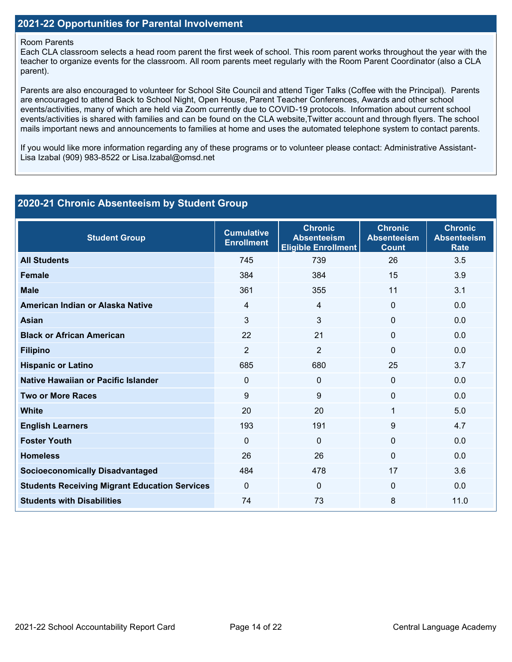#### Room Parents

Each CLA classroom selects a head room parent the first week of school. This room parent works throughout the year with the teacher to organize events for the classroom. All room parents meet regularly with the Room Parent Coordinator (also a CLA parent).

Parents are also encouraged to volunteer for School Site Council and attend Tiger Talks (Coffee with the Principal). Parents are encouraged to attend Back to School Night, Open House, Parent Teacher Conferences, Awards and other school events/activities, many of which are held via Zoom currently due to COVID-19 protocols. Information about current school events/activities is shared with families and can be found on the CLA website,Twitter account and through flyers. The school mails important news and announcements to families at home and uses the automated telephone system to contact parents.

If you would like more information regarding any of these programs or to volunteer please contact: Administrative Assistant-Lisa Izabal (909) 983-8522 or Lisa.Izabal@omsd.net

| 2020-21 Chronic Absenteeism by Student Group         |                                        |                                                                    |                                                      |                                                     |  |  |  |  |
|------------------------------------------------------|----------------------------------------|--------------------------------------------------------------------|------------------------------------------------------|-----------------------------------------------------|--|--|--|--|
| <b>Student Group</b>                                 | <b>Cumulative</b><br><b>Enrollment</b> | <b>Chronic</b><br><b>Absenteeism</b><br><b>Eligible Enrollment</b> | <b>Chronic</b><br><b>Absenteeism</b><br><b>Count</b> | <b>Chronic</b><br><b>Absenteeism</b><br><b>Rate</b> |  |  |  |  |
| <b>All Students</b>                                  | 745                                    | 739                                                                | 26                                                   | 3.5                                                 |  |  |  |  |
| <b>Female</b>                                        | 384                                    | 384                                                                | 15                                                   | 3.9                                                 |  |  |  |  |
| <b>Male</b>                                          | 361                                    | 355                                                                | 11                                                   | 3.1                                                 |  |  |  |  |
| American Indian or Alaska Native                     | 4                                      | 4                                                                  | $\Omega$                                             | 0.0                                                 |  |  |  |  |
| <b>Asian</b>                                         | 3                                      | 3                                                                  | 0                                                    | 0.0                                                 |  |  |  |  |
| <b>Black or African American</b>                     | 22                                     | 21                                                                 | 0                                                    | 0.0                                                 |  |  |  |  |
| <b>Filipino</b>                                      | $\overline{2}$                         | $\overline{2}$                                                     | $\Omega$                                             | 0.0                                                 |  |  |  |  |
| <b>Hispanic or Latino</b>                            | 685                                    | 680                                                                | 25                                                   | 3.7                                                 |  |  |  |  |
| Native Hawaiian or Pacific Islander                  | 0                                      | 0                                                                  | $\Omega$                                             | 0.0                                                 |  |  |  |  |
| <b>Two or More Races</b>                             | 9                                      | 9                                                                  | 0                                                    | 0.0                                                 |  |  |  |  |
| <b>White</b>                                         | 20                                     | 20                                                                 | 1                                                    | 5.0                                                 |  |  |  |  |
| <b>English Learners</b>                              | 193                                    | 191                                                                | 9                                                    | 4.7                                                 |  |  |  |  |
| <b>Foster Youth</b>                                  | $\Omega$                               | $\mathbf{0}$                                                       | $\Omega$                                             | 0.0                                                 |  |  |  |  |
| <b>Homeless</b>                                      | 26                                     | 26                                                                 | $\Omega$                                             | 0.0                                                 |  |  |  |  |
| <b>Socioeconomically Disadvantaged</b>               | 484                                    | 478                                                                | 17                                                   | 3.6                                                 |  |  |  |  |
| <b>Students Receiving Migrant Education Services</b> | $\mathbf 0$                            | 0                                                                  | 0                                                    | 0.0                                                 |  |  |  |  |
| <b>Students with Disabilities</b>                    | 74                                     | 73                                                                 | 8                                                    | 11.0                                                |  |  |  |  |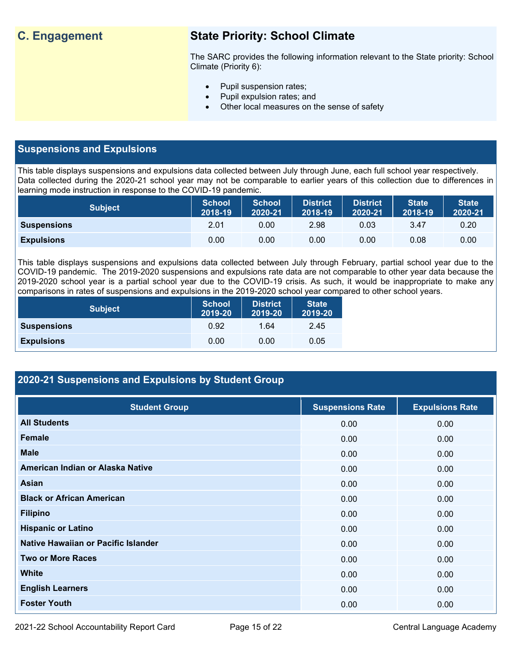## **C. Engagement State Priority: School Climate**

The SARC provides the following information relevant to the State priority: School Climate (Priority 6):

- Pupil suspension rates;
- Pupil expulsion rates; and
- Other local measures on the sense of safety

#### **Suspensions and Expulsions**

This table displays suspensions and expulsions data collected between July through June, each full school year respectively. Data collected during the 2020-21 school year may not be comparable to earlier years of this collection due to differences in learning mode instruction in response to the COVID-19 pandemic.

| <b>Subject</b>     | <b>School</b><br>2018-19 | <b>School</b><br>2020-21 | <b>District</b><br>2018-19 | <b>District</b><br>2020-21 | <b>State</b><br>2018-19 | <b>State</b><br>2020-21 |
|--------------------|--------------------------|--------------------------|----------------------------|----------------------------|-------------------------|-------------------------|
| <b>Suspensions</b> | 2.01                     | 0.00                     | 2.98                       | 0.03                       | 3.47                    | 0.20                    |
| <b>Expulsions</b>  | 0.00                     | 0.00                     | 0.00                       | 0.00                       | 0.08                    | 0.00                    |

This table displays suspensions and expulsions data collected between July through February, partial school year due to the COVID-19 pandemic. The 2019-2020 suspensions and expulsions rate data are not comparable to other year data because the 2019-2020 school year is a partial school year due to the COVID-19 crisis. As such, it would be inappropriate to make any comparisons in rates of suspensions and expulsions in the 2019-2020 school year compared to other school years.

| <b>Subject</b>     | <b>School</b><br>2019-20 | <b>District</b><br>2019-20 | <b>State</b><br>2019-20 |
|--------------------|--------------------------|----------------------------|-------------------------|
| <b>Suspensions</b> | 0.92                     | 1.64                       | 2.45                    |
| <b>Expulsions</b>  | 0.00                     | 0.00                       | 0.05                    |

## **2020-21 Suspensions and Expulsions by Student Group**

| <b>Student Group</b>                | <b>Suspensions Rate</b> | <b>Expulsions Rate</b> |
|-------------------------------------|-------------------------|------------------------|
| <b>All Students</b>                 | 0.00                    | 0.00                   |
| <b>Female</b>                       | 0.00                    | 0.00                   |
| <b>Male</b>                         | 0.00                    | 0.00                   |
| American Indian or Alaska Native    | 0.00                    | 0.00                   |
| <b>Asian</b>                        | 0.00                    | 0.00                   |
| <b>Black or African American</b>    | 0.00                    | 0.00                   |
| <b>Filipino</b>                     | 0.00                    | 0.00                   |
| <b>Hispanic or Latino</b>           | 0.00                    | 0.00                   |
| Native Hawaiian or Pacific Islander | 0.00                    | 0.00                   |
| <b>Two or More Races</b>            | 0.00                    | 0.00                   |
| <b>White</b>                        | 0.00                    | 0.00                   |
| <b>English Learners</b>             | 0.00                    | 0.00                   |
| <b>Foster Youth</b>                 | 0.00                    | 0.00                   |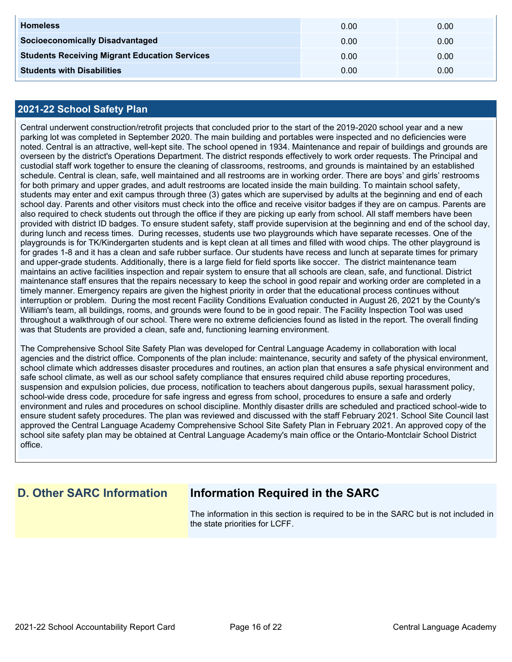| <b>Homeless</b>                                      | 0.00 | 0.00 |
|------------------------------------------------------|------|------|
| <b>Socioeconomically Disadvantaged</b>               | 0.00 | 0.00 |
| <b>Students Receiving Migrant Education Services</b> | 0.00 | 0.00 |
| <b>Students with Disabilities</b>                    | 0.00 | 0.00 |

#### **2021-22 School Safety Plan**

Central underwent construction/retrofit projects that concluded prior to the start of the 2019-2020 school year and a new parking lot was completed in September 2020. The main building and portables were inspected and no deficiencies were noted. Central is an attractive, well-kept site. The school opened in 1934. Maintenance and repair of buildings and grounds are overseen by the district's Operations Department. The district responds effectively to work order requests. The Principal and custodial staff work together to ensure the cleaning of classrooms, restrooms, and grounds is maintained by an established schedule. Central is clean, safe, well maintained and all restrooms are in working order. There are boys' and girls' restrooms for both primary and upper grades, and adult restrooms are located inside the main building. To maintain school safety, students may enter and exit campus through three (3) gates which are supervised by adults at the beginning and end of each school day. Parents and other visitors must check into the office and receive visitor badges if they are on campus. Parents are also required to check students out through the office if they are picking up early from school. All staff members have been provided with district ID badges. To ensure student safety, staff provide supervision at the beginning and end of the school day, during lunch and recess times. During recesses, students use two playgrounds which have separate recesses. One of the playgrounds is for TK/Kindergarten students and is kept clean at all times and filled with wood chips. The other playground is for grades 1-8 and it has a clean and safe rubber surface. Our students have recess and lunch at separate times for primary and upper-grade students. Additionally, there is a large field for field sports like soccer. The district maintenance team maintains an active facilities inspection and repair system to ensure that all schools are clean, safe, and functional. District maintenance staff ensures that the repairs necessary to keep the school in good repair and working order are completed in a timely manner. Emergency repairs are given the highest priority in order that the educational process continues without interruption or problem. During the most recent Facility Conditions Evaluation conducted in August 26, 2021 by the County's William's team, all buildings, rooms, and grounds were found to be in good repair. The Facility Inspection Tool was used throughout a walkthrough of our school. There were no extreme deficiencies found as listed in the report. The overall finding was that Students are provided a clean, safe and, functioning learning environment.

The Comprehensive School Site Safety Plan was developed for Central Language Academy in collaboration with local agencies and the district office. Components of the plan include: maintenance, security and safety of the physical environment, school climate which addresses disaster procedures and routines, an action plan that ensures a safe physical environment and safe school climate, as well as our school safety compliance that ensures required child abuse reporting procedures, suspension and expulsion policies, due process, notification to teachers about dangerous pupils, sexual harassment policy, school-wide dress code, procedure for safe ingress and egress from school, procedures to ensure a safe and orderly environment and rules and procedures on school discipline. Monthly disaster drills are scheduled and practiced school-wide to ensure student safety procedures. The plan was reviewed and discussed with the staff February 2021. School Site Council last approved the Central Language Academy Comprehensive School Site Safety Plan in February 2021. An approved copy of the school site safety plan may be obtained at Central Language Academy's main office or the Ontario-Montclair School District office.

## **D. Other SARC Information Information Required in the SARC**

The information in this section is required to be in the SARC but is not included in the state priorities for LCFF.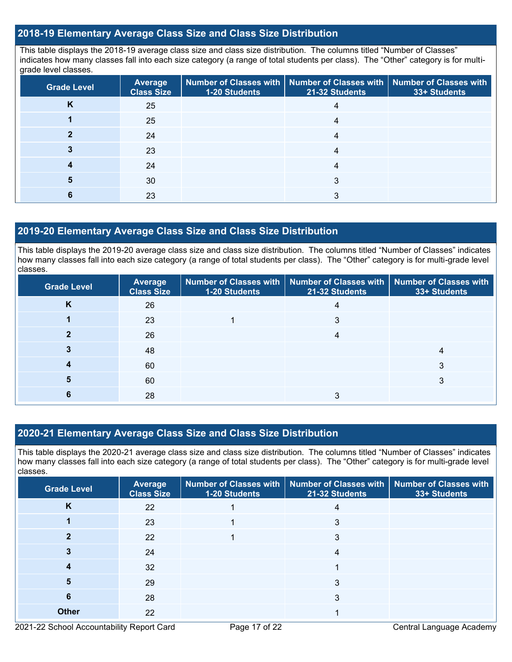#### **2018-19 Elementary Average Class Size and Class Size Distribution**

This table displays the 2018-19 average class size and class size distribution. The columns titled "Number of Classes" indicates how many classes fall into each size category (a range of total students per class). The "Other" category is for multigrade level classes.

| <b>Grade Level</b> | <b>Average</b><br><b>Class Size</b> | <b>1-20 Students</b> | Number of Classes with   Number of Classes with   Number of Classes with<br>21-32 Students | 33+ Students |
|--------------------|-------------------------------------|----------------------|--------------------------------------------------------------------------------------------|--------------|
| K                  | 25                                  |                      |                                                                                            |              |
|                    | 25                                  |                      |                                                                                            |              |
|                    | 24                                  |                      | 4                                                                                          |              |
|                    | 23                                  |                      |                                                                                            |              |
|                    | 24                                  |                      |                                                                                            |              |
|                    | 30                                  |                      | 3                                                                                          |              |
|                    | 23                                  |                      |                                                                                            |              |

#### **2019-20 Elementary Average Class Size and Class Size Distribution**

This table displays the 2019-20 average class size and class size distribution. The columns titled "Number of Classes" indicates how many classes fall into each size category (a range of total students per class). The "Other" category is for multi-grade level classes.

| <b>Grade Level</b> | <b>Average</b><br><b>Class Size</b> | 1-20 Students | Number of Classes with   Number of Classes with  <br>21-32 Students | Number of Classes with<br>33+ Students |
|--------------------|-------------------------------------|---------------|---------------------------------------------------------------------|----------------------------------------|
| Κ                  | 26                                  |               |                                                                     |                                        |
|                    | 23                                  |               | 3                                                                   |                                        |
|                    | 26                                  |               | 4                                                                   |                                        |
|                    | 48                                  |               |                                                                     |                                        |
|                    | 60                                  |               |                                                                     |                                        |
|                    | 60                                  |               |                                                                     | റ                                      |
|                    | 28                                  |               |                                                                     |                                        |

#### **2020-21 Elementary Average Class Size and Class Size Distribution**

This table displays the 2020-21 average class size and class size distribution. The columns titled "Number of Classes" indicates how many classes fall into each size category (a range of total students per class). The "Other" category is for multi-grade level classes.

| <b>Grade Level</b> | Average<br><b>Class Size</b> | 1-20 Students | Number of Classes with   Number of Classes with   Number of Classes with<br>21-32 Students | 33+ Students |
|--------------------|------------------------------|---------------|--------------------------------------------------------------------------------------------|--------------|
| K                  | 22                           |               | 4                                                                                          |              |
|                    | 23                           |               | 3                                                                                          |              |
|                    | 22                           |               | 3                                                                                          |              |
|                    | 24                           |               | 4                                                                                          |              |
|                    | 32                           |               |                                                                                            |              |
| 5                  | 29                           |               | 3                                                                                          |              |
| 6                  | 28                           |               | 3                                                                                          |              |
| <b>Other</b>       | 22                           |               |                                                                                            |              |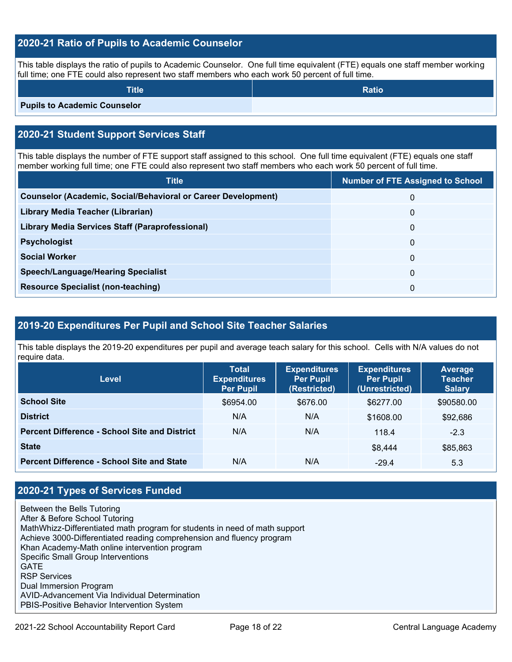#### **2020-21 Ratio of Pupils to Academic Counselor**

This table displays the ratio of pupils to Academic Counselor. One full time equivalent (FTE) equals one staff member working full time; one FTE could also represent two staff members who each work 50 percent of full time.

| <b>Title</b>                        | <b>Ratio</b> |
|-------------------------------------|--------------|
| <b>Pupils to Academic Counselor</b> |              |

## **2020-21 Student Support Services Staff**

This table displays the number of FTE support staff assigned to this school. One full time equivalent (FTE) equals one staff member working full time; one FTE could also represent two staff members who each work 50 percent of full time.

| <b>Number of FTE Assigned to School</b> |
|-----------------------------------------|
| 0                                       |
| $\Omega$                                |
| 0                                       |
| 0                                       |
| 0                                       |
| $\mathbf{0}$                            |
| 0                                       |
|                                         |

#### **2019-20 Expenditures Per Pupil and School Site Teacher Salaries**

This table displays the 2019-20 expenditures per pupil and average teach salary for this school. Cells with N/A values do not require data.

| Level                                                | <b>Total</b><br><b>Expenditures</b><br><b>Per Pupil</b> | <b>Expenditures</b><br><b>Per Pupil</b><br>(Restricted) | <b>Expenditures</b><br><b>Per Pupil</b><br>(Unrestricted) | <b>Average</b><br><b>Teacher</b><br><b>Salary</b> |
|------------------------------------------------------|---------------------------------------------------------|---------------------------------------------------------|-----------------------------------------------------------|---------------------------------------------------|
| <b>School Site</b>                                   | \$6954.00                                               | \$676.00                                                | \$6277.00                                                 | \$90580.00                                        |
| <b>District</b>                                      | N/A                                                     | N/A                                                     | \$1608.00                                                 | \$92,686                                          |
| <b>Percent Difference - School Site and District</b> | N/A                                                     | N/A                                                     | 118.4                                                     | $-2.3$                                            |
| <b>State</b>                                         |                                                         |                                                         | \$8,444                                                   | \$85,863                                          |
| <b>Percent Difference - School Site and State</b>    | N/A                                                     | N/A                                                     | $-29.4$                                                   | 5.3                                               |

## **2020-21 Types of Services Funded**

Between the Bells Tutoring After & Before School Tutoring MathWhizz-Differentiated math program for students in need of math support Achieve 3000-Differentiated reading comprehension and fluency program Khan Academy-Math online intervention program Specific Small Group Interventions **GATE** RSP Services Dual Immersion Program AVID-Advancement Via Individual Determination PBIS-Positive Behavior Intervention System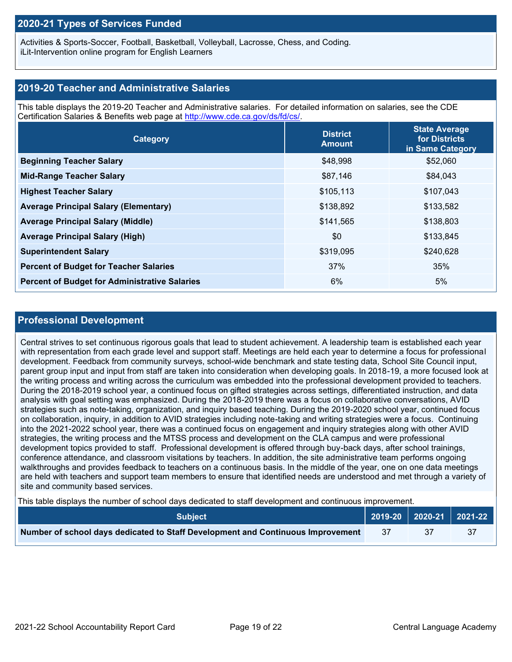#### **2020-21 Types of Services Funded**

Activities & Sports-Soccer, Football, Basketball, Volleyball, Lacrosse, Chess, and Coding. iLit-Intervention online program for English Learners

#### **2019-20 Teacher and Administrative Salaries**

This table displays the 2019-20 Teacher and Administrative salaries. For detailed information on salaries, see the CDE Certification Salaries & Benefits web page at [http://www.cde.ca.gov/ds/fd/cs/.](http://www.cde.ca.gov/ds/fd/cs/)

| Category                                             | <b>District</b><br><b>Amount</b> | <b>State Average</b><br>for Districts<br>in Same Category |
|------------------------------------------------------|----------------------------------|-----------------------------------------------------------|
| <b>Beginning Teacher Salary</b>                      | \$48,998                         | \$52,060                                                  |
| <b>Mid-Range Teacher Salary</b>                      | \$87,146                         | \$84,043                                                  |
| <b>Highest Teacher Salary</b>                        | \$105,113                        | \$107,043                                                 |
| <b>Average Principal Salary (Elementary)</b>         | \$138,892                        | \$133,582                                                 |
| <b>Average Principal Salary (Middle)</b>             | \$141,565                        | \$138,803                                                 |
| <b>Average Principal Salary (High)</b>               | \$0                              | \$133,845                                                 |
| <b>Superintendent Salary</b>                         | \$319,095                        | \$240,628                                                 |
| <b>Percent of Budget for Teacher Salaries</b>        | 37%                              | 35%                                                       |
| <b>Percent of Budget for Administrative Salaries</b> | 6%                               | 5%                                                        |

#### **Professional Development**

Central strives to set continuous rigorous goals that lead to student achievement. A leadership team is established each year with representation from each grade level and support staff. Meetings are held each year to determine a focus for professional development. Feedback from community surveys, school-wide benchmark and state testing data, School Site Council input, parent group input and input from staff are taken into consideration when developing goals. In 2018-19, a more focused look at the writing process and writing across the curriculum was embedded into the professional development provided to teachers. During the 2018-2019 school year, a continued focus on gifted strategies across settings, differentiated instruction, and data analysis with goal setting was emphasized. During the 2018-2019 there was a focus on collaborative conversations, AVID strategies such as note-taking, organization, and inquiry based teaching. During the 2019-2020 school year, continued focus on collaboration, inquiry, in addition to AVID strategies including note-taking and writing strategies were a focus. Continuing into the 2021-2022 school year, there was a continued focus on engagement and inquiry strategies along with other AVID strategies, the writing process and the MTSS process and development on the CLA campus and were professional development topics provided to staff. Professional development is offered through buy-back days, after school trainings, conference attendance, and classroom visitations by teachers. In addition, the site administrative team performs ongoing walkthroughs and provides feedback to teachers on a continuous basis. In the middle of the year, one on one data meetings are held with teachers and support team members to ensure that identified needs are understood and met through a variety of site and community based services.

This table displays the number of school days dedicated to staff development and continuous improvement.

| <b>Subiect</b>                                                                  |     | $\vert$ 2019-20 2020-21 2021-22 |
|---------------------------------------------------------------------------------|-----|---------------------------------|
| Number of school days dedicated to Staff Development and Continuous Improvement | -37 |                                 |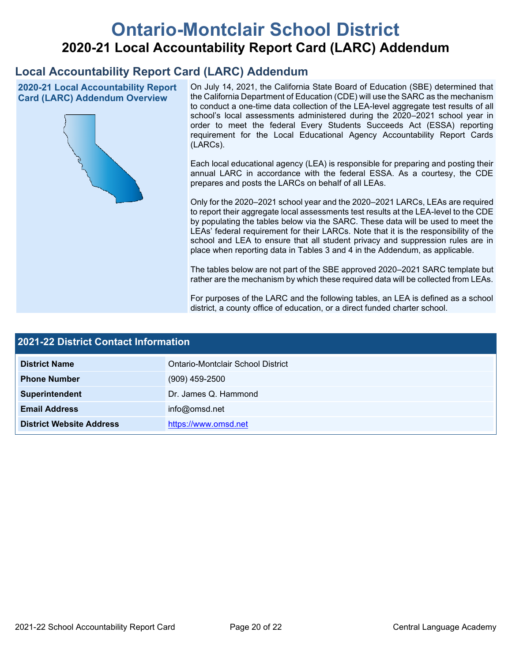# **Ontario-Montclair School District 2020-21 Local Accountability Report Card (LARC) Addendum**

## **Local Accountability Report Card (LARC) Addendum**

**2020-21 Local Accountability Report Card (LARC) Addendum Overview**



On July 14, 2021, the California State Board of Education (SBE) determined that the California Department of Education (CDE) will use the SARC as the mechanism to conduct a one-time data collection of the LEA-level aggregate test results of all school's local assessments administered during the 2020–2021 school year in order to meet the federal Every Students Succeeds Act (ESSA) reporting requirement for the Local Educational Agency Accountability Report Cards (LARCs).

Each local educational agency (LEA) is responsible for preparing and posting their annual LARC in accordance with the federal ESSA. As a courtesy, the CDE prepares and posts the LARCs on behalf of all LEAs.

Only for the 2020–2021 school year and the 2020–2021 LARCs, LEAs are required to report their aggregate local assessments test results at the LEA-level to the CDE by populating the tables below via the SARC. These data will be used to meet the LEAs' federal requirement for their LARCs. Note that it is the responsibility of the school and LEA to ensure that all student privacy and suppression rules are in place when reporting data in Tables 3 and 4 in the Addendum, as applicable.

The tables below are not part of the SBE approved 2020–2021 SARC template but rather are the mechanism by which these required data will be collected from LEAs.

For purposes of the LARC and the following tables, an LEA is defined as a school district, a county office of education, or a direct funded charter school.

| 2021-22 District Contact Information |                                   |  |  |  |
|--------------------------------------|-----------------------------------|--|--|--|
| <b>District Name</b>                 | Ontario-Montclair School District |  |  |  |
| <b>Phone Number</b>                  | $(909)$ 459-2500                  |  |  |  |
| Superintendent                       | Dr. James Q. Hammond              |  |  |  |
| <b>Email Address</b>                 | info@omsd.net                     |  |  |  |
| <b>District Website Address</b>      | https://www.omsd.net              |  |  |  |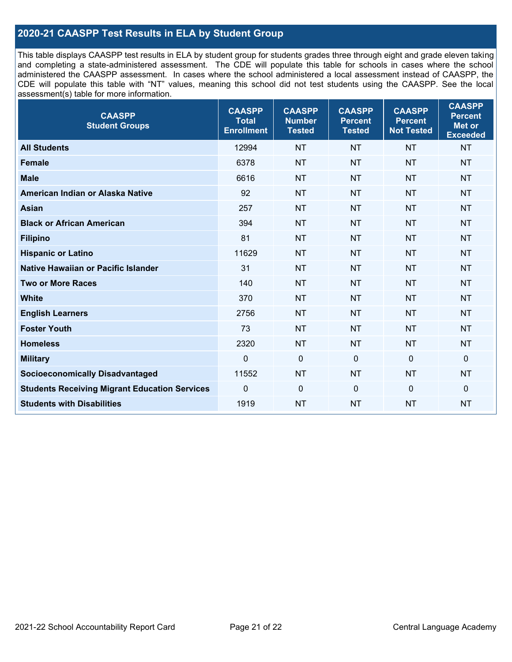#### **2020-21 CAASPP Test Results in ELA by Student Group**

This table displays CAASPP test results in ELA by student group for students grades three through eight and grade eleven taking and completing a state-administered assessment. The CDE will populate this table for schools in cases where the school administered the CAASPP assessment. In cases where the school administered a local assessment instead of CAASPP, the CDE will populate this table with "NT" values, meaning this school did not test students using the CAASPP. See the local assessment(s) table for more information.

| <b>CAASPP</b><br><b>Student Groups</b>               | <b>CAASPP</b><br><b>Total</b><br><b>Enrollment</b> | <b>CAASPP</b><br><b>Number</b><br><b>Tested</b> | <b>CAASPP</b><br><b>Percent</b><br><b>Tested</b> | <b>CAASPP</b><br><b>Percent</b><br><b>Not Tested</b> | <b>CAASPP</b><br><b>Percent</b><br>Met or<br><b>Exceeded</b> |
|------------------------------------------------------|----------------------------------------------------|-------------------------------------------------|--------------------------------------------------|------------------------------------------------------|--------------------------------------------------------------|
| <b>All Students</b>                                  | 12994                                              | <b>NT</b>                                       | <b>NT</b>                                        | <b>NT</b>                                            | <b>NT</b>                                                    |
| <b>Female</b>                                        | 6378                                               | <b>NT</b>                                       | <b>NT</b>                                        | <b>NT</b>                                            | <b>NT</b>                                                    |
| <b>Male</b>                                          | 6616                                               | <b>NT</b>                                       | <b>NT</b>                                        | <b>NT</b>                                            | <b>NT</b>                                                    |
| American Indian or Alaska Native                     | 92                                                 | <b>NT</b>                                       | <b>NT</b>                                        | <b>NT</b>                                            | <b>NT</b>                                                    |
| <b>Asian</b>                                         | 257                                                | <b>NT</b>                                       | <b>NT</b>                                        | <b>NT</b>                                            | <b>NT</b>                                                    |
| <b>Black or African American</b>                     | 394                                                | <b>NT</b>                                       | <b>NT</b>                                        | <b>NT</b>                                            | <b>NT</b>                                                    |
| <b>Filipino</b>                                      | 81                                                 | <b>NT</b>                                       | <b>NT</b>                                        | <b>NT</b>                                            | <b>NT</b>                                                    |
| <b>Hispanic or Latino</b>                            | 11629                                              | <b>NT</b>                                       | <b>NT</b>                                        | <b>NT</b>                                            | NT                                                           |
| Native Hawaiian or Pacific Islander                  | 31                                                 | <b>NT</b>                                       | <b>NT</b>                                        | <b>NT</b>                                            | <b>NT</b>                                                    |
| <b>Two or More Races</b>                             | 140                                                | <b>NT</b>                                       | <b>NT</b>                                        | <b>NT</b>                                            | <b>NT</b>                                                    |
| <b>White</b>                                         | 370                                                | <b>NT</b>                                       | <b>NT</b>                                        | <b>NT</b>                                            | <b>NT</b>                                                    |
| <b>English Learners</b>                              | 2756                                               | <b>NT</b>                                       | <b>NT</b>                                        | <b>NT</b>                                            | <b>NT</b>                                                    |
| <b>Foster Youth</b>                                  | 73                                                 | <b>NT</b>                                       | <b>NT</b>                                        | <b>NT</b>                                            | <b>NT</b>                                                    |
| <b>Homeless</b>                                      | 2320                                               | <b>NT</b>                                       | <b>NT</b>                                        | <b>NT</b>                                            | <b>NT</b>                                                    |
| <b>Military</b>                                      | $\mathbf 0$                                        | $\mathbf 0$                                     | $\mathbf 0$                                      | $\mathbf 0$                                          | 0                                                            |
| <b>Socioeconomically Disadvantaged</b>               | 11552                                              | <b>NT</b>                                       | <b>NT</b>                                        | <b>NT</b>                                            | <b>NT</b>                                                    |
| <b>Students Receiving Migrant Education Services</b> | 0                                                  | $\mathbf 0$                                     | $\mathbf 0$                                      | $\mathbf 0$                                          | 0                                                            |
| <b>Students with Disabilities</b>                    | 1919                                               | <b>NT</b>                                       | <b>NT</b>                                        | <b>NT</b>                                            | <b>NT</b>                                                    |